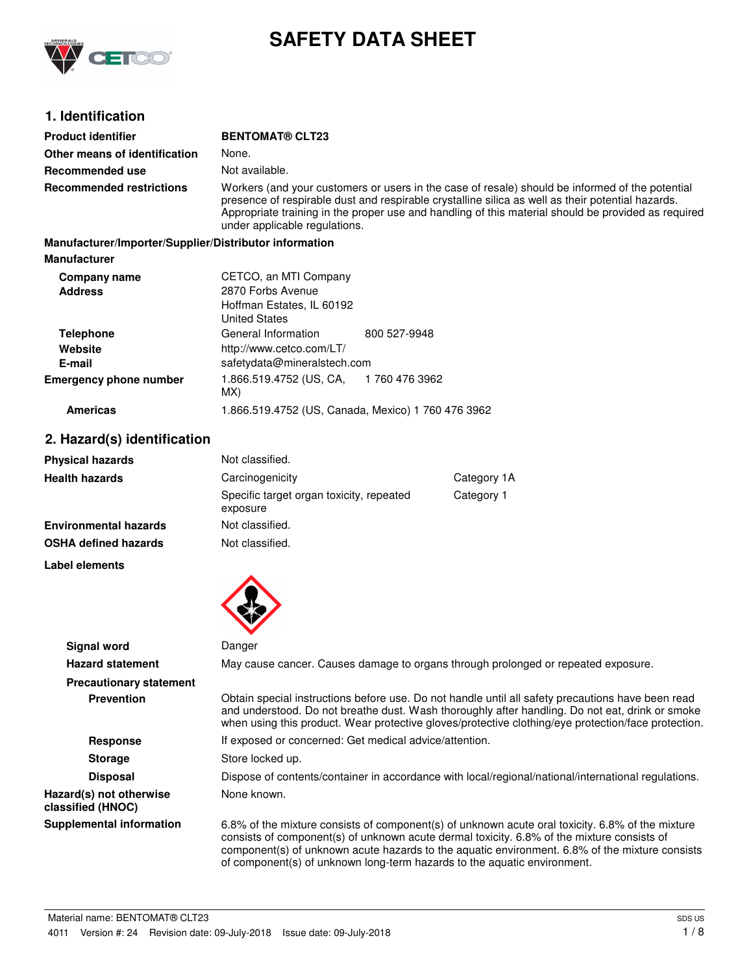

# **SAFETY DATA SHEET**

# **1. Identification**

| <b>Product identifier</b>                              | <b>BENTOMAT® CLT23</b>                                                                                                                                                                                                                                                                                                                       |
|--------------------------------------------------------|----------------------------------------------------------------------------------------------------------------------------------------------------------------------------------------------------------------------------------------------------------------------------------------------------------------------------------------------|
| Other means of identification                          | None.                                                                                                                                                                                                                                                                                                                                        |
| Recommended use                                        | Not available.                                                                                                                                                                                                                                                                                                                               |
| <b>Recommended restrictions</b>                        | Workers (and your customers or users in the case of resale) should be informed of the potential<br>presence of respirable dust and respirable crystalline silica as well as their potential hazards.<br>Appropriate training in the proper use and handling of this material should be provided as required<br>under applicable regulations. |
| Manufacturer/Importer/Supplier/Distributor information |                                                                                                                                                                                                                                                                                                                                              |
| <b>Manufacturer</b>                                    |                                                                                                                                                                                                                                                                                                                                              |
| Company name                                           | CETCO, an MTI Company                                                                                                                                                                                                                                                                                                                        |
| <b>Address</b>                                         | 2870 Forbs Avenue                                                                                                                                                                                                                                                                                                                            |
|                                                        | Hoffman Estates, IL 60192                                                                                                                                                                                                                                                                                                                    |
|                                                        | Llaited Ctates                                                                                                                                                                                                                                                                                                                               |

|                               | <b>United States</b>                         |              |  |
|-------------------------------|----------------------------------------------|--------------|--|
| <b>Telephone</b>              | General Information                          | 800 527-9948 |  |
| Website                       | http://www.cetco.com/LT/                     |              |  |
| E-mail                        | safetydata@mineralstech.com                  |              |  |
| <b>Emergency phone number</b> | 1.866.519.4752 (US, CA, 1760 476 3962<br>MX) |              |  |

## **Americas** 1.866.519.4752 (US, Canada, Mexico) 1 760 476 3962

# **2. Hazard(s) identification**

| <b>Physical hazards</b>      | Not classified.                                      |             |
|------------------------------|------------------------------------------------------|-------------|
| <b>Health hazards</b>        | Carcinogenicity                                      | Category 1A |
|                              | Specific target organ toxicity, repeated<br>exposure | Category 1  |
| <b>Environmental hazards</b> | Not classified.                                      |             |
| <b>OSHA defined hazards</b>  | Not classified.                                      |             |

**Label elements**



| <b>Signal word</b>                           | Danger                                                                                                                                                                                                                                                                                                                                                                       |
|----------------------------------------------|------------------------------------------------------------------------------------------------------------------------------------------------------------------------------------------------------------------------------------------------------------------------------------------------------------------------------------------------------------------------------|
| <b>Hazard statement</b>                      | May cause cancer. Causes damage to organs through prolonged or repeated exposure.                                                                                                                                                                                                                                                                                            |
| <b>Precautionary statement</b>               |                                                                                                                                                                                                                                                                                                                                                                              |
| <b>Prevention</b>                            | Obtain special instructions before use. Do not handle until all safety precautions have been read<br>and understood. Do not breathe dust. Wash thoroughly after handling. Do not eat, drink or smoke<br>when using this product. Wear protective gloves/protective clothing/eye protection/face protection.                                                                  |
| <b>Response</b>                              | If exposed or concerned: Get medical advice/attention.                                                                                                                                                                                                                                                                                                                       |
| <b>Storage</b>                               | Store locked up.                                                                                                                                                                                                                                                                                                                                                             |
| <b>Disposal</b>                              | Dispose of contents/container in accordance with local/regional/national/international regulations.                                                                                                                                                                                                                                                                          |
| Hazard(s) not otherwise<br>classified (HNOC) | None known.                                                                                                                                                                                                                                                                                                                                                                  |
| <b>Supplemental information</b>              | 6.8% of the mixture consists of component(s) of unknown acute oral toxicity. 6.8% of the mixture<br>consists of component(s) of unknown acute dermal toxicity. 6.8% of the mixture consists of<br>component(s) of unknown acute hazards to the aquatic environment. 6.8% of the mixture consists<br>of component(s) of unknown long-term hazards to the aquatic environment. |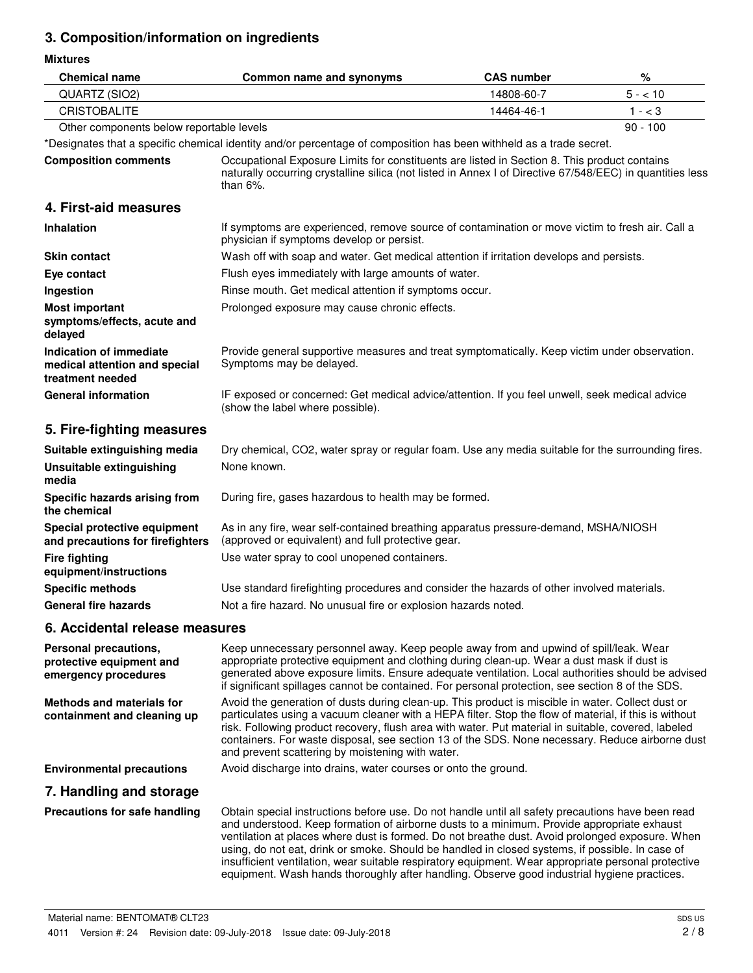# **3. Composition/information on ingredients**

**Mixtures**

| <b>Chemical name</b>                                                         | Common name and synonyms                                                                                                                                                                                                                                                                                                                                                                                                                                                                                                                                                                                    | <b>CAS number</b> | %          |
|------------------------------------------------------------------------------|-------------------------------------------------------------------------------------------------------------------------------------------------------------------------------------------------------------------------------------------------------------------------------------------------------------------------------------------------------------------------------------------------------------------------------------------------------------------------------------------------------------------------------------------------------------------------------------------------------------|-------------------|------------|
| QUARTZ (SIO2)                                                                | 14808-60-7                                                                                                                                                                                                                                                                                                                                                                                                                                                                                                                                                                                                  |                   | $5 - 10$   |
| <b>CRISTOBALITE</b>                                                          |                                                                                                                                                                                                                                                                                                                                                                                                                                                                                                                                                                                                             | 14464-46-1        | $1 - < 3$  |
| Other components below reportable levels                                     |                                                                                                                                                                                                                                                                                                                                                                                                                                                                                                                                                                                                             |                   | $90 - 100$ |
|                                                                              | *Designates that a specific chemical identity and/or percentage of composition has been withheld as a trade secret.                                                                                                                                                                                                                                                                                                                                                                                                                                                                                         |                   |            |
| <b>Composition comments</b>                                                  | Occupational Exposure Limits for constituents are listed in Section 8. This product contains<br>naturally occurring crystalline silica (not listed in Annex I of Directive 67/548/EEC) in quantities less<br>than $6\%$ .                                                                                                                                                                                                                                                                                                                                                                                   |                   |            |
| 4. First-aid measures                                                        |                                                                                                                                                                                                                                                                                                                                                                                                                                                                                                                                                                                                             |                   |            |
| Inhalation                                                                   | If symptoms are experienced, remove source of contamination or move victim to fresh air. Call a<br>physician if symptoms develop or persist.                                                                                                                                                                                                                                                                                                                                                                                                                                                                |                   |            |
| <b>Skin contact</b>                                                          | Wash off with soap and water. Get medical attention if irritation develops and persists.                                                                                                                                                                                                                                                                                                                                                                                                                                                                                                                    |                   |            |
| Eye contact                                                                  | Flush eyes immediately with large amounts of water.                                                                                                                                                                                                                                                                                                                                                                                                                                                                                                                                                         |                   |            |
| Ingestion                                                                    | Rinse mouth. Get medical attention if symptoms occur.                                                                                                                                                                                                                                                                                                                                                                                                                                                                                                                                                       |                   |            |
| <b>Most important</b><br>symptoms/effects, acute and<br>delayed              | Prolonged exposure may cause chronic effects.                                                                                                                                                                                                                                                                                                                                                                                                                                                                                                                                                               |                   |            |
| Indication of immediate<br>medical attention and special<br>treatment needed | Provide general supportive measures and treat symptomatically. Keep victim under observation.<br>Symptoms may be delayed.                                                                                                                                                                                                                                                                                                                                                                                                                                                                                   |                   |            |
| <b>General information</b>                                                   | IF exposed or concerned: Get medical advice/attention. If you feel unwell, seek medical advice<br>(show the label where possible).                                                                                                                                                                                                                                                                                                                                                                                                                                                                          |                   |            |
| 5. Fire-fighting measures                                                    |                                                                                                                                                                                                                                                                                                                                                                                                                                                                                                                                                                                                             |                   |            |
| Suitable extinguishing media                                                 | Dry chemical, CO2, water spray or regular foam. Use any media suitable for the surrounding fires.                                                                                                                                                                                                                                                                                                                                                                                                                                                                                                           |                   |            |
| <b>Unsuitable extinguishing</b><br>media                                     | None known.                                                                                                                                                                                                                                                                                                                                                                                                                                                                                                                                                                                                 |                   |            |
| Specific hazards arising from<br>the chemical                                | During fire, gases hazardous to health may be formed.                                                                                                                                                                                                                                                                                                                                                                                                                                                                                                                                                       |                   |            |
| Special protective equipment<br>and precautions for firefighters             | As in any fire, wear self-contained breathing apparatus pressure-demand, MSHA/NIOSH<br>(approved or equivalent) and full protective gear.                                                                                                                                                                                                                                                                                                                                                                                                                                                                   |                   |            |
| <b>Fire fighting</b><br>equipment/instructions                               | Use water spray to cool unopened containers.                                                                                                                                                                                                                                                                                                                                                                                                                                                                                                                                                                |                   |            |
| <b>Specific methods</b>                                                      | Use standard firefighting procedures and consider the hazards of other involved materials.                                                                                                                                                                                                                                                                                                                                                                                                                                                                                                                  |                   |            |
| <b>General fire hazards</b>                                                  | Not a fire hazard. No unusual fire or explosion hazards noted.                                                                                                                                                                                                                                                                                                                                                                                                                                                                                                                                              |                   |            |
| 6. Accidental release measures                                               |                                                                                                                                                                                                                                                                                                                                                                                                                                                                                                                                                                                                             |                   |            |
| Personal precautions,<br>protective equipment and<br>emergency procedures    | Keep unnecessary personnel away. Keep people away from and upwind of spill/leak. Wear<br>appropriate protective equipment and clothing during clean-up. Wear a dust mask if dust is<br>generated above exposure limits. Ensure adequate ventilation. Local authorities should be advised<br>if significant spillages cannot be contained. For personal protection, see section 8 of the SDS.                                                                                                                                                                                                                |                   |            |
| <b>Methods and materials for</b><br>containment and cleaning up              | Avoid the generation of dusts during clean-up. This product is miscible in water. Collect dust or<br>particulates using a vacuum cleaner with a HEPA filter. Stop the flow of material, if this is without<br>risk. Following product recovery, flush area with water. Put material in suitable, covered, labeled<br>containers. For waste disposal, see section 13 of the SDS. None necessary. Reduce airborne dust<br>and prevent scattering by moistening with water.                                                                                                                                    |                   |            |
| <b>Environmental precautions</b>                                             | Avoid discharge into drains, water courses or onto the ground.                                                                                                                                                                                                                                                                                                                                                                                                                                                                                                                                              |                   |            |
| 7. Handling and storage                                                      |                                                                                                                                                                                                                                                                                                                                                                                                                                                                                                                                                                                                             |                   |            |
| Precautions for safe handling                                                | Obtain special instructions before use. Do not handle until all safety precautions have been read<br>and understood. Keep formation of airborne dusts to a minimum. Provide appropriate exhaust<br>ventilation at places where dust is formed. Do not breathe dust. Avoid prolonged exposure. When<br>using, do not eat, drink or smoke. Should be handled in closed systems, if possible. In case of<br>insufficient ventilation, wear suitable respiratory equipment. Wear appropriate personal protective<br>equipment. Wash hands thoroughly after handling. Observe good industrial hygiene practices. |                   |            |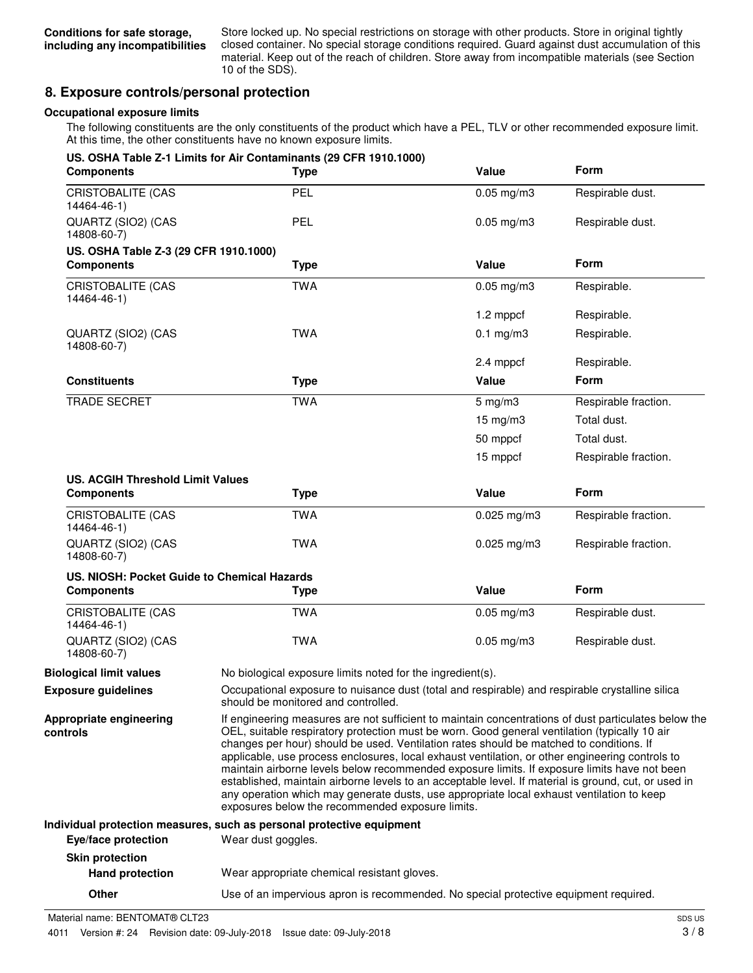Store locked up. No special restrictions on storage with other products. Store in original tightly closed container. No special storage conditions required. Guard against dust accumulation of this material. Keep out of the reach of children. Store away from incompatible materials (see Section 10 of the SDS).

# **8. Exposure controls/personal protection**

### **Occupational exposure limits**

The following constituents are the only constituents of the product which have a PEL, TLV or other recommended exposure limit. At this time, the other constituents have no known exposure limits.

| <b>Components</b>                                          | US. OSHA Table Z-1 Limits for Air Contaminants (29 CFR 1910.1000)<br><b>Type</b>                                                                                                                                                                                                                                                                                                                                                                                                                                                                                                                                                                                                                                                                             | Value              | Form                 |
|------------------------------------------------------------|--------------------------------------------------------------------------------------------------------------------------------------------------------------------------------------------------------------------------------------------------------------------------------------------------------------------------------------------------------------------------------------------------------------------------------------------------------------------------------------------------------------------------------------------------------------------------------------------------------------------------------------------------------------------------------------------------------------------------------------------------------------|--------------------|----------------------|
| <b>CRISTOBALITE (CAS</b><br>14464-46-1)                    | <b>PEL</b>                                                                                                                                                                                                                                                                                                                                                                                                                                                                                                                                                                                                                                                                                                                                                   | $0.05$ mg/m $3$    | Respirable dust.     |
| QUARTZ (SIO2) (CAS<br>14808-60-7)                          | <b>PEL</b>                                                                                                                                                                                                                                                                                                                                                                                                                                                                                                                                                                                                                                                                                                                                                   | $0.05$ mg/m $3$    | Respirable dust.     |
| US. OSHA Table Z-3 (29 CFR 1910.1000)<br><b>Components</b> | <b>Type</b>                                                                                                                                                                                                                                                                                                                                                                                                                                                                                                                                                                                                                                                                                                                                                  | Value              | <b>Form</b>          |
| <b>CRISTOBALITE (CAS</b><br>14464-46-1)                    | <b>TWA</b>                                                                                                                                                                                                                                                                                                                                                                                                                                                                                                                                                                                                                                                                                                                                                   | $0.05$ mg/m $3$    | Respirable.          |
|                                                            |                                                                                                                                                                                                                                                                                                                                                                                                                                                                                                                                                                                                                                                                                                                                                              | 1.2 mppcf          | Respirable.          |
| QUARTZ (SIO2) (CAS<br>14808-60-7)                          | <b>TWA</b>                                                                                                                                                                                                                                                                                                                                                                                                                                                                                                                                                                                                                                                                                                                                                   | $0.1$ mg/m $3$     | Respirable.          |
|                                                            |                                                                                                                                                                                                                                                                                                                                                                                                                                                                                                                                                                                                                                                                                                                                                              | 2.4 mppcf          | Respirable.          |
| <b>Constituents</b>                                        | <b>Type</b>                                                                                                                                                                                                                                                                                                                                                                                                                                                                                                                                                                                                                                                                                                                                                  | Value              | <b>Form</b>          |
| <b>TRADE SECRET</b>                                        | <b>TWA</b>                                                                                                                                                                                                                                                                                                                                                                                                                                                                                                                                                                                                                                                                                                                                                   | $5 \text{ mg/m}$ 3 | Respirable fraction. |
|                                                            |                                                                                                                                                                                                                                                                                                                                                                                                                                                                                                                                                                                                                                                                                                                                                              | $15$ mg/m $3$      | Total dust.          |
|                                                            |                                                                                                                                                                                                                                                                                                                                                                                                                                                                                                                                                                                                                                                                                                                                                              | 50 mppcf           | Total dust.          |
|                                                            |                                                                                                                                                                                                                                                                                                                                                                                                                                                                                                                                                                                                                                                                                                                                                              | 15 mppcf           | Respirable fraction. |
| <b>US. ACGIH Threshold Limit Values</b>                    |                                                                                                                                                                                                                                                                                                                                                                                                                                                                                                                                                                                                                                                                                                                                                              | Value              | Form                 |
| <b>Components</b>                                          | <b>Type</b>                                                                                                                                                                                                                                                                                                                                                                                                                                                                                                                                                                                                                                                                                                                                                  |                    |                      |
| <b>CRISTOBALITE (CAS</b><br>14464-46-1)                    | <b>TWA</b>                                                                                                                                                                                                                                                                                                                                                                                                                                                                                                                                                                                                                                                                                                                                                   | $0.025$ mg/m3      | Respirable fraction. |
| QUARTZ (SIO2) (CAS<br>14808-60-7)                          | <b>TWA</b>                                                                                                                                                                                                                                                                                                                                                                                                                                                                                                                                                                                                                                                                                                                                                   | $0.025$ mg/m3      | Respirable fraction. |
| US. NIOSH: Pocket Guide to Chemical Hazards                |                                                                                                                                                                                                                                                                                                                                                                                                                                                                                                                                                                                                                                                                                                                                                              |                    |                      |
| <b>Components</b>                                          | <b>Type</b>                                                                                                                                                                                                                                                                                                                                                                                                                                                                                                                                                                                                                                                                                                                                                  | Value              | Form                 |
| <b>CRISTOBALITE (CAS</b><br>14464-46-1)                    | <b>TWA</b>                                                                                                                                                                                                                                                                                                                                                                                                                                                                                                                                                                                                                                                                                                                                                   | $0.05$ mg/m3       | Respirable dust.     |
| QUARTZ (SIO2) (CAS<br>14808-60-7)                          | <b>TWA</b>                                                                                                                                                                                                                                                                                                                                                                                                                                                                                                                                                                                                                                                                                                                                                   | $0.05$ mg/m $3$    | Respirable dust.     |
| <b>Biological limit values</b>                             | No biological exposure limits noted for the ingredient(s).                                                                                                                                                                                                                                                                                                                                                                                                                                                                                                                                                                                                                                                                                                   |                    |                      |
| <b>Exposure guidelines</b>                                 | Occupational exposure to nuisance dust (total and respirable) and respirable crystalline silica<br>should be monitored and controlled.                                                                                                                                                                                                                                                                                                                                                                                                                                                                                                                                                                                                                       |                    |                      |
| Appropriate engineering<br>controls                        | If engineering measures are not sufficient to maintain concentrations of dust particulates below the<br>OEL, suitable respiratory protection must be worn. Good general ventilation (typically 10 air<br>changes per hour) should be used. Ventilation rates should be matched to conditions. If<br>applicable, use process enclosures, local exhaust ventilation, or other engineering controls to<br>maintain airborne levels below recommended exposure limits. If exposure limits have not been<br>established, maintain airborne levels to an acceptable level. If material is ground, cut, or used in<br>any operation which may generate dusts, use appropriate local exhaust ventilation to keep<br>exposures below the recommended exposure limits. |                    |                      |
|                                                            | Individual protection measures, such as personal protective equipment                                                                                                                                                                                                                                                                                                                                                                                                                                                                                                                                                                                                                                                                                        |                    |                      |
| Eye/face protection                                        | Wear dust goggles.                                                                                                                                                                                                                                                                                                                                                                                                                                                                                                                                                                                                                                                                                                                                           |                    |                      |
| <b>Skin protection</b>                                     |                                                                                                                                                                                                                                                                                                                                                                                                                                                                                                                                                                                                                                                                                                                                                              |                    |                      |
| <b>Hand protection</b>                                     | Wear appropriate chemical resistant gloves.                                                                                                                                                                                                                                                                                                                                                                                                                                                                                                                                                                                                                                                                                                                  |                    |                      |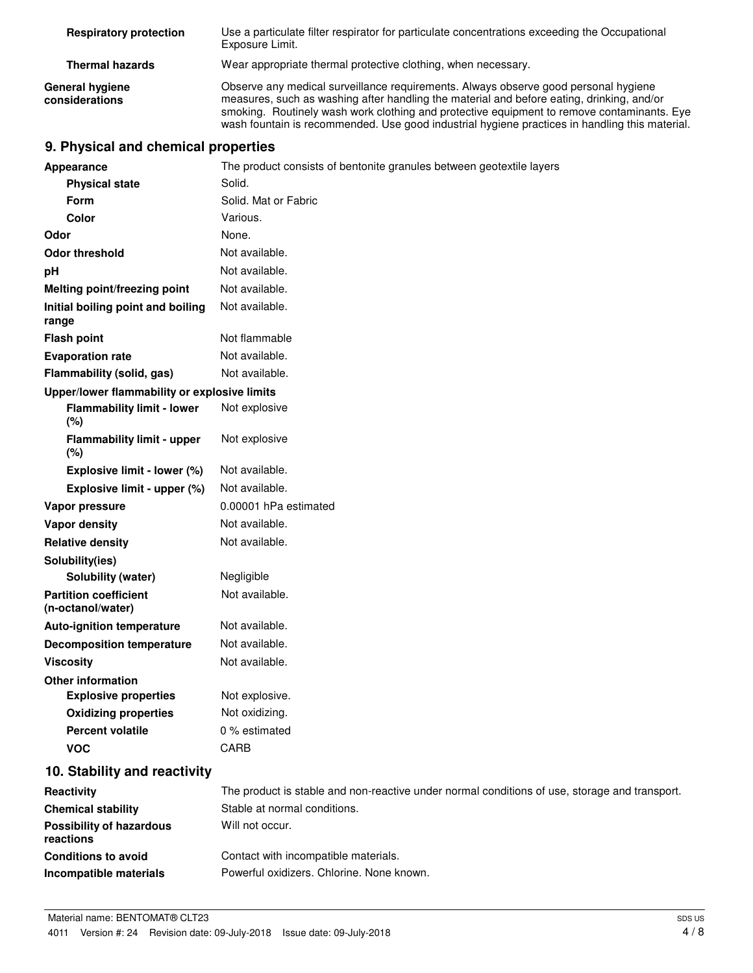| <b>Respiratory protection</b>            | Use a particulate filter respirator for particulate concentrations exceeding the Occupational<br>Exposure Limit.                                                                                                                                                                                                                                                                 |
|------------------------------------------|----------------------------------------------------------------------------------------------------------------------------------------------------------------------------------------------------------------------------------------------------------------------------------------------------------------------------------------------------------------------------------|
| <b>Thermal hazards</b>                   | Wear appropriate thermal protective clothing, when necessary.                                                                                                                                                                                                                                                                                                                    |
| <b>General hygiene</b><br>considerations | Observe any medical surveillance requirements. Always observe good personal hygiene<br>measures, such as washing after handling the material and before eating, drinking, and/or<br>smoking. Routinely wash work clothing and protective equipment to remove contaminants. Eye<br>wash fountain is recommended. Use good industrial hygiene practices in handling this material. |

# **9. Physical and chemical properties**

| <b>Appearance</b>                                 | The product consists of bentonite granules between geotextile layers                          |
|---------------------------------------------------|-----------------------------------------------------------------------------------------------|
| <b>Physical state</b>                             | Solid.                                                                                        |
| Form                                              | Solid. Mat or Fabric                                                                          |
| <b>Color</b>                                      | Various.                                                                                      |
| Odor                                              | None.                                                                                         |
| <b>Odor threshold</b>                             | Not available.                                                                                |
| рH                                                | Not available.                                                                                |
| Melting point/freezing point                      | Not available.                                                                                |
| Initial boiling point and boiling<br>range        | Not available.                                                                                |
| <b>Flash point</b>                                | Not flammable                                                                                 |
| <b>Evaporation rate</b>                           | Not available.                                                                                |
| Flammability (solid, gas)                         | Not available.                                                                                |
| Upper/lower flammability or explosive limits      |                                                                                               |
| <b>Flammability limit - lower</b><br>(%)          | Not explosive                                                                                 |
| <b>Flammability limit - upper</b><br>(%)          | Not explosive                                                                                 |
| Explosive limit - lower (%)                       | Not available.                                                                                |
| Explosive limit - upper (%)                       | Not available.                                                                                |
| Vapor pressure                                    | 0.00001 hPa estimated                                                                         |
| <b>Vapor density</b>                              | Not available.                                                                                |
| <b>Relative density</b>                           | Not available.                                                                                |
| Solubility(ies)                                   |                                                                                               |
| Solubility (water)                                | Negligible                                                                                    |
| <b>Partition coefficient</b><br>(n-octanol/water) | Not available.                                                                                |
| <b>Auto-ignition temperature</b>                  | Not available.                                                                                |
| <b>Decomposition temperature</b>                  | Not available.                                                                                |
| <b>Viscosity</b>                                  | Not available.                                                                                |
| <b>Other information</b>                          |                                                                                               |
| <b>Explosive properties</b>                       | Not explosive.                                                                                |
| <b>Oxidizing properties</b>                       | Not oxidizing.                                                                                |
| <b>Percent volatile</b>                           | 0 % estimated                                                                                 |
| <b>VOC</b>                                        | <b>CARB</b>                                                                                   |
| 10. Stability and reactivity                      |                                                                                               |
| Reactivity                                        | The product is stable and non-reactive under normal conditions of use, storage and transport. |
| <b>Chemical stability</b>                         | Stable at normal conditions.                                                                  |
| <b>Possibility of hazardous</b><br>reactions      | Will not occur.                                                                               |
| <b>Conditions to avoid</b>                        | Contact with incompatible materials.                                                          |
| Incompatible materials                            | Powerful oxidizers. Chlorine. None known.                                                     |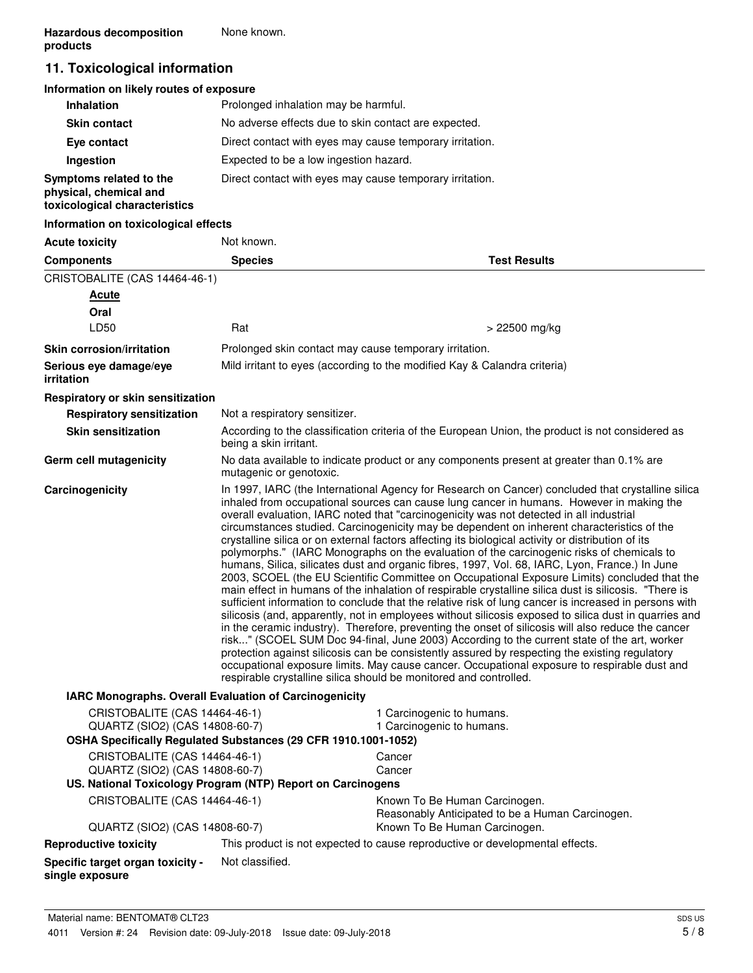# **11. Toxicological information**

## **Information on likely routes of exposure**

| <b>Inhalation</b>                                                                  | Prolonged inhalation may be harmful.                     |
|------------------------------------------------------------------------------------|----------------------------------------------------------|
| <b>Skin contact</b>                                                                | No adverse effects due to skin contact are expected.     |
| Eye contact                                                                        | Direct contact with eyes may cause temporary irritation. |
| Ingestion                                                                          | Expected to be a low ingestion hazard.                   |
| Symptoms related to the<br>physical, chemical and<br>toxicological characteristics | Direct contact with eyes may cause temporary irritation. |

## **Information on toxicological effects**

| <b>Acute toxicity</b>                                                                                                             | Not known.                                                                                                                                                                                                                                                                                                                                                                                                                                                                                                                                                                                                                                                                                                                                                                                                                                                                                                                                                                                                                                                                                                                                                                                                                                                                                                                                                                                                                                                                                                                                                                                         |                                                                                                  |
|-----------------------------------------------------------------------------------------------------------------------------------|----------------------------------------------------------------------------------------------------------------------------------------------------------------------------------------------------------------------------------------------------------------------------------------------------------------------------------------------------------------------------------------------------------------------------------------------------------------------------------------------------------------------------------------------------------------------------------------------------------------------------------------------------------------------------------------------------------------------------------------------------------------------------------------------------------------------------------------------------------------------------------------------------------------------------------------------------------------------------------------------------------------------------------------------------------------------------------------------------------------------------------------------------------------------------------------------------------------------------------------------------------------------------------------------------------------------------------------------------------------------------------------------------------------------------------------------------------------------------------------------------------------------------------------------------------------------------------------------------|--------------------------------------------------------------------------------------------------|
| <b>Components</b>                                                                                                                 | <b>Species</b>                                                                                                                                                                                                                                                                                                                                                                                                                                                                                                                                                                                                                                                                                                                                                                                                                                                                                                                                                                                                                                                                                                                                                                                                                                                                                                                                                                                                                                                                                                                                                                                     | <b>Test Results</b>                                                                              |
| CRISTOBALITE (CAS 14464-46-1)                                                                                                     |                                                                                                                                                                                                                                                                                                                                                                                                                                                                                                                                                                                                                                                                                                                                                                                                                                                                                                                                                                                                                                                                                                                                                                                                                                                                                                                                                                                                                                                                                                                                                                                                    |                                                                                                  |
| Acute                                                                                                                             |                                                                                                                                                                                                                                                                                                                                                                                                                                                                                                                                                                                                                                                                                                                                                                                                                                                                                                                                                                                                                                                                                                                                                                                                                                                                                                                                                                                                                                                                                                                                                                                                    |                                                                                                  |
| Oral                                                                                                                              |                                                                                                                                                                                                                                                                                                                                                                                                                                                                                                                                                                                                                                                                                                                                                                                                                                                                                                                                                                                                                                                                                                                                                                                                                                                                                                                                                                                                                                                                                                                                                                                                    |                                                                                                  |
| LD50                                                                                                                              | Rat                                                                                                                                                                                                                                                                                                                                                                                                                                                                                                                                                                                                                                                                                                                                                                                                                                                                                                                                                                                                                                                                                                                                                                                                                                                                                                                                                                                                                                                                                                                                                                                                | > 22500 mg/kg                                                                                    |
| <b>Skin corrosion/irritation</b>                                                                                                  |                                                                                                                                                                                                                                                                                                                                                                                                                                                                                                                                                                                                                                                                                                                                                                                                                                                                                                                                                                                                                                                                                                                                                                                                                                                                                                                                                                                                                                                                                                                                                                                                    | Prolonged skin contact may cause temporary irritation.                                           |
| Serious eye damage/eye<br>irritation                                                                                              |                                                                                                                                                                                                                                                                                                                                                                                                                                                                                                                                                                                                                                                                                                                                                                                                                                                                                                                                                                                                                                                                                                                                                                                                                                                                                                                                                                                                                                                                                                                                                                                                    | Mild irritant to eyes (according to the modified Kay & Calandra criteria)                        |
| Respiratory or skin sensitization                                                                                                 |                                                                                                                                                                                                                                                                                                                                                                                                                                                                                                                                                                                                                                                                                                                                                                                                                                                                                                                                                                                                                                                                                                                                                                                                                                                                                                                                                                                                                                                                                                                                                                                                    |                                                                                                  |
| <b>Respiratory sensitization</b>                                                                                                  | Not a respiratory sensitizer.                                                                                                                                                                                                                                                                                                                                                                                                                                                                                                                                                                                                                                                                                                                                                                                                                                                                                                                                                                                                                                                                                                                                                                                                                                                                                                                                                                                                                                                                                                                                                                      |                                                                                                  |
| <b>Skin sensitization</b>                                                                                                         | being a skin irritant.                                                                                                                                                                                                                                                                                                                                                                                                                                                                                                                                                                                                                                                                                                                                                                                                                                                                                                                                                                                                                                                                                                                                                                                                                                                                                                                                                                                                                                                                                                                                                                             | According to the classification criteria of the European Union, the product is not considered as |
| Germ cell mutagenicity                                                                                                            | mutagenic or genotoxic.                                                                                                                                                                                                                                                                                                                                                                                                                                                                                                                                                                                                                                                                                                                                                                                                                                                                                                                                                                                                                                                                                                                                                                                                                                                                                                                                                                                                                                                                                                                                                                            | No data available to indicate product or any components present at greater than 0.1% are         |
| Carcinogenicity                                                                                                                   | In 1997, IARC (the International Agency for Research on Cancer) concluded that crystalline silica<br>inhaled from occupational sources can cause lung cancer in humans. However in making the<br>overall evaluation, IARC noted that "carcinogenicity was not detected in all industrial<br>circumstances studied. Carcinogenicity may be dependent on inherent characteristics of the<br>crystalline silica or on external factors affecting its biological activity or distribution of its<br>polymorphs." (IARC Monographs on the evaluation of the carcinogenic risks of chemicals to<br>humans, Silica, silicates dust and organic fibres, 1997, Vol. 68, IARC, Lyon, France.) In June<br>2003, SCOEL (the EU Scientific Committee on Occupational Exposure Limits) concluded that the<br>main effect in humans of the inhalation of respirable crystalline silica dust is silicosis. "There is<br>sufficient information to conclude that the relative risk of lung cancer is increased in persons with<br>silicosis (and, apparently, not in employees without silicosis exposed to silica dust in quarries and<br>in the ceramic industry). Therefore, preventing the onset of silicosis will also reduce the cancer<br>risk" (SCOEL SUM Doc 94-final, June 2003) According to the current state of the art, worker<br>protection against silicosis can be consistently assured by respecting the existing regulatory<br>occupational exposure limits. May cause cancer. Occupational exposure to respirable dust and<br>respirable crystalline silica should be monitored and controlled. |                                                                                                  |
| IARC Monographs. Overall Evaluation of Carcinogenicity                                                                            |                                                                                                                                                                                                                                                                                                                                                                                                                                                                                                                                                                                                                                                                                                                                                                                                                                                                                                                                                                                                                                                                                                                                                                                                                                                                                                                                                                                                                                                                                                                                                                                                    |                                                                                                  |
| CRISTOBALITE (CAS 14464-46-1)<br>QUARTZ (SIO2) (CAS 14808-60-7)<br>OSHA Specifically Regulated Substances (29 CFR 1910.1001-1052) |                                                                                                                                                                                                                                                                                                                                                                                                                                                                                                                                                                                                                                                                                                                                                                                                                                                                                                                                                                                                                                                                                                                                                                                                                                                                                                                                                                                                                                                                                                                                                                                                    | 1 Carcinogenic to humans.<br>1 Carcinogenic to humans.                                           |
| CRISTOBALITE (CAS 14464-46-1)                                                                                                     |                                                                                                                                                                                                                                                                                                                                                                                                                                                                                                                                                                                                                                                                                                                                                                                                                                                                                                                                                                                                                                                                                                                                                                                                                                                                                                                                                                                                                                                                                                                                                                                                    | Cancer                                                                                           |
| QUARTZ (SIO2) (CAS 14808-60-7)                                                                                                    |                                                                                                                                                                                                                                                                                                                                                                                                                                                                                                                                                                                                                                                                                                                                                                                                                                                                                                                                                                                                                                                                                                                                                                                                                                                                                                                                                                                                                                                                                                                                                                                                    | Cancer                                                                                           |
| US. National Toxicology Program (NTP) Report on Carcinogens                                                                       |                                                                                                                                                                                                                                                                                                                                                                                                                                                                                                                                                                                                                                                                                                                                                                                                                                                                                                                                                                                                                                                                                                                                                                                                                                                                                                                                                                                                                                                                                                                                                                                                    |                                                                                                  |
| CRISTOBALITE (CAS 14464-46-1)                                                                                                     |                                                                                                                                                                                                                                                                                                                                                                                                                                                                                                                                                                                                                                                                                                                                                                                                                                                                                                                                                                                                                                                                                                                                                                                                                                                                                                                                                                                                                                                                                                                                                                                                    | Known To Be Human Carcinogen.<br>Reasonably Anticipated to be a Human Carcinogen.                |
| QUARTZ (SIO2) (CAS 14808-60-7)                                                                                                    |                                                                                                                                                                                                                                                                                                                                                                                                                                                                                                                                                                                                                                                                                                                                                                                                                                                                                                                                                                                                                                                                                                                                                                                                                                                                                                                                                                                                                                                                                                                                                                                                    | Known To Be Human Carcinogen.                                                                    |
| <b>Reproductive toxicity</b>                                                                                                      |                                                                                                                                                                                                                                                                                                                                                                                                                                                                                                                                                                                                                                                                                                                                                                                                                                                                                                                                                                                                                                                                                                                                                                                                                                                                                                                                                                                                                                                                                                                                                                                                    | This product is not expected to cause reproductive or developmental effects.                     |
| <b>Specific target organ toxicity -</b><br>single exposure                                                                        | Not classified.                                                                                                                                                                                                                                                                                                                                                                                                                                                                                                                                                                                                                                                                                                                                                                                                                                                                                                                                                                                                                                                                                                                                                                                                                                                                                                                                                                                                                                                                                                                                                                                    |                                                                                                  |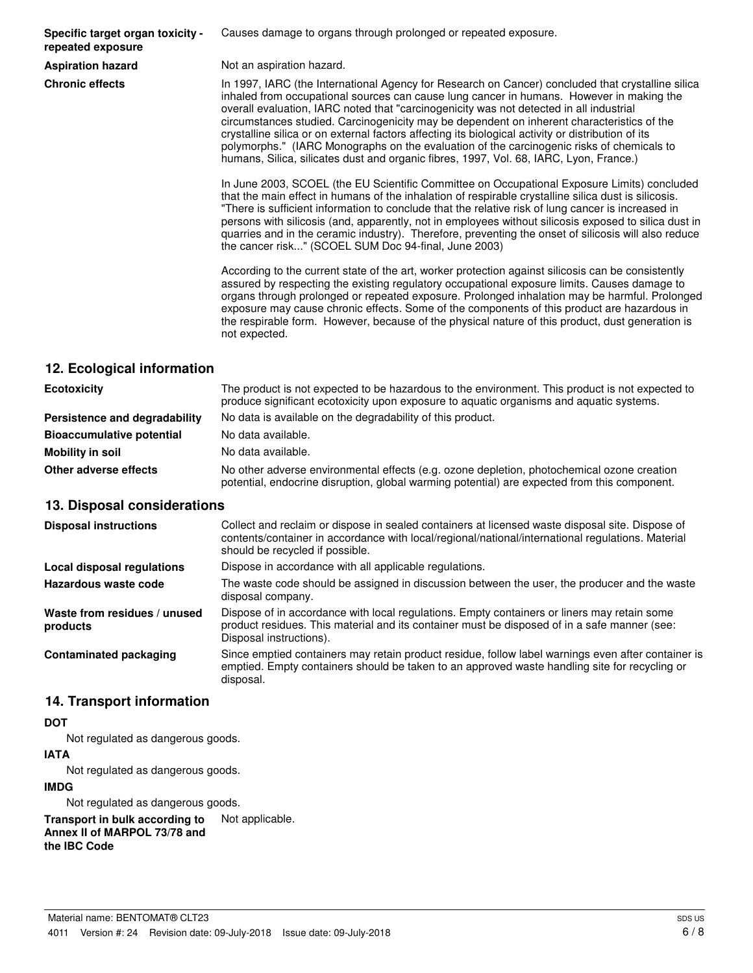**Specific target organ toxicity repeated exposure**

Causes damage to organs through prolonged or repeated exposure.

**Aspiration hazard** Not an aspiration hazard.

**Chronic effects** In 1997, IARC (the International Agency for Research on Cancer) concluded that crystalline silica inhaled from occupational sources can cause lung cancer in humans. However in making the overall evaluation, IARC noted that "carcinogenicity was not detected in all industrial circumstances studied. Carcinogenicity may be dependent on inherent characteristics of the crystalline silica or on external factors affecting its biological activity or distribution of its polymorphs." (IARC Monographs on the evaluation of the carcinogenic risks of chemicals to humans, Silica, silicates dust and organic fibres, 1997, Vol. 68, IARC, Lyon, France.)

> In June 2003, SCOEL (the EU Scientific Committee on Occupational Exposure Limits) concluded that the main effect in humans of the inhalation of respirable crystalline silica dust is silicosis. "There is sufficient information to conclude that the relative risk of lung cancer is increased in persons with silicosis (and, apparently, not in employees without silicosis exposed to silica dust in quarries and in the ceramic industry). Therefore, preventing the onset of silicosis will also reduce the cancer risk..." (SCOEL SUM Doc 94-final, June 2003)

> According to the current state of the art, worker protection against silicosis can be consistently assured by respecting the existing regulatory occupational exposure limits. Causes damage to organs through prolonged or repeated exposure. Prolonged inhalation may be harmful. Prolonged exposure may cause chronic effects. Some of the components of this product are hazardous in the respirable form. However, because of the physical nature of this product, dust generation is not expected.

# **12. Ecological information**

| <b>Ecotoxicity</b>               | The product is not expected to be hazardous to the environment. This product is not expected to<br>produce significant ecotoxicity upon exposure to aquatic organisms and aquatic systems. |  |
|----------------------------------|--------------------------------------------------------------------------------------------------------------------------------------------------------------------------------------------|--|
| Persistence and degradability    | No data is available on the degradability of this product.                                                                                                                                 |  |
| <b>Bioaccumulative potential</b> | No data available.                                                                                                                                                                         |  |
| Mobility in soil                 | No data available.                                                                                                                                                                         |  |
| Other adverse effects            | No other adverse environmental effects (e.g. ozone depletion, photochemical ozone creation<br>potential, endocrine disruption, global warming potential) are expected from this component. |  |

## **13. Disposal considerations**

| <b>Disposal instructions</b>             | Collect and reclaim or dispose in sealed containers at licensed waste disposal site. Dispose of<br>contents/container in accordance with local/regional/national/international regulations. Material<br>should be recycled if possible. |
|------------------------------------------|-----------------------------------------------------------------------------------------------------------------------------------------------------------------------------------------------------------------------------------------|
| Local disposal regulations               | Dispose in accordance with all applicable regulations.                                                                                                                                                                                  |
| Hazardous waste code                     | The waste code should be assigned in discussion between the user, the producer and the waste<br>disposal company.                                                                                                                       |
| Waste from residues / unused<br>products | Dispose of in accordance with local regulations. Empty containers or liners may retain some<br>product residues. This material and its container must be disposed of in a safe manner (see:<br>Disposal instructions).                  |
| <b>Contaminated packaging</b>            | Since emptied containers may retain product residue, follow label warnings even after container is<br>emptied. Empty containers should be taken to an approved waste handling site for recycling or<br>disposal.                        |

# **14. Transport information**

## **DOT**

Not regulated as dangerous goods.

#### **IATA**

Not regulated as dangerous goods.

#### **IMDG**

Not regulated as dangerous goods.

**Transport in bulk according to** Not applicable. **Annex II of MARPOL 73/78 and the IBC Code**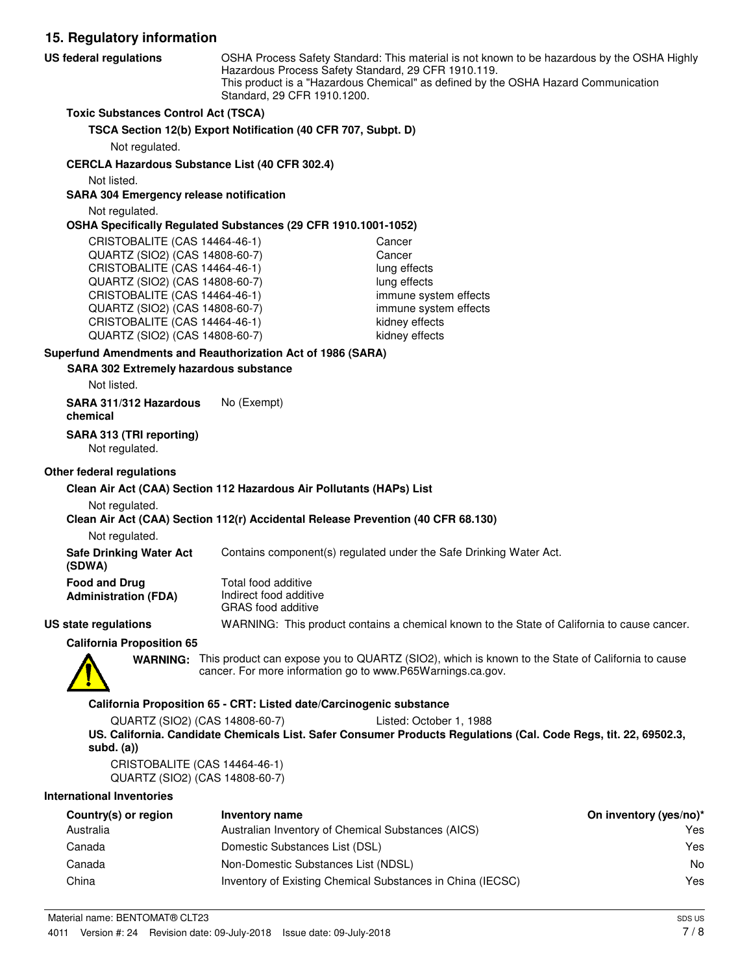**15. Regulatory information** OSHA Process Safety Standard: This material is not known to be hazardous by the OSHA Highly Hazardous Process Safety Standard, 29 CFR 1910.119. This product is a "Hazardous Chemical" as defined by the OSHA Hazard Communication Standard, 29 CFR 1910.1200. **US federal regulations Toxic Substances Control Act (TSCA) TSCA Section 12(b) Export Notification (40 CFR 707, Subpt. D)** Not regulated. **CERCLA Hazardous Substance List (40 CFR 302.4)** Not listed. **SARA 304 Emergency release notification** Not regulated. **OSHA Specifically Regulated Substances (29 CFR 1910.1001-1052)** CRISTOBALITE (CAS 14464-46-1) Cancer QUARTZ (SIO2) (CAS 14808-60-7) Cancer CRISTOBALITE (CAS 14464-46-1) lung effects QUARTZ (SIO2) (CAS 14808-60-7) lung effects CRISTOBALITE (CAS 14464-46-1) immune system effects QUARTZ (SIO2) (CAS 14808-60-7) immune system effects CRISTOBALITE (CAS 14464-46-1) kidney effects QUARTZ (SIO2) (CAS 14808-60-7) kidney effects **SARA 302 Extremely hazardous substance Superfund Amendments and Reauthorization Act of 1986 (SARA)** Not listed. **SARA 311/312 Hazardous** No (Exempt) **chemical SARA 313 (TRI reporting)** Not regulated. **Other federal regulations**

#### **Clean Air Act (CAA) Section 112 Hazardous Air Pollutants (HAPs) List**

Not regulated.

**Clean Air Act (CAA) Section 112(r) Accidental Release Prevention (40 CFR 68.130)**

Not regulated.

**Safe Drinking Water Act** Contains component(s) regulated under the Safe Drinking Water Act. **(SDWA)**

| Food and Drug        | Total food additive<br>Indirect food additive |  |
|----------------------|-----------------------------------------------|--|
| Administration (FDA) |                                               |  |
|                      | GRAS food additive                            |  |

GRAS food additive **US state regulations** WARNING: This product contains a chemical known to the State of California to cause cancer.

**California Proposition 65**



WARNING: This product can expose you to QUARTZ (SIO2), which is known to the State of California to cause cancer. For more information go to www.P65Warnings.ca.gov.

#### **California Proposition 65 - CRT: Listed date/Carcinogenic substance**

QUARTZ (SIO2) (CAS 14808-60-7) Listed: October 1, 1988 **US. California. Candidate Chemicals List. Safer Consumer Products Regulations (Cal. Code Regs, tit. 22, 69502.3, subd. (a))**

CRISTOBALITE (CAS 14464-46-1) QUARTZ (SIO2) (CAS 14808-60-7)

#### **International Inventories**

| Country(s) or region | Inventory name                                             | On inventory (yes/no)* |
|----------------------|------------------------------------------------------------|------------------------|
| Australia            | Australian Inventory of Chemical Substances (AICS)         | Yes                    |
| Canada               | Domestic Substances List (DSL)                             | Yes                    |
| Canada               | Non-Domestic Substances List (NDSL)                        | No                     |
| China                | Inventory of Existing Chemical Substances in China (IECSC) | Yes                    |